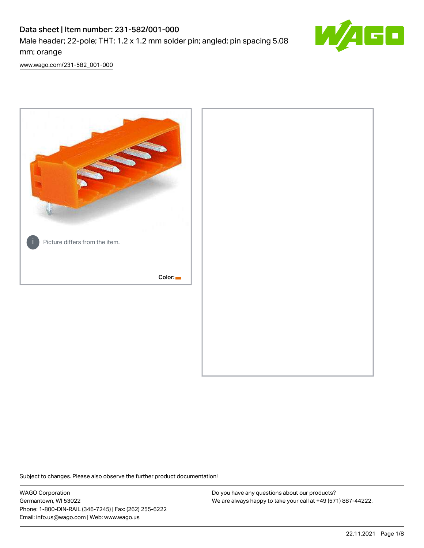# Data sheet | Item number: 231-582/001-000

Male header; 22-pole; THT; 1.2 x 1.2 mm solder pin; angled; pin spacing 5.08 mm; orange



[www.wago.com/231-582\\_001-000](http://www.wago.com/231-582_001-000)



Subject to changes. Please also observe the further product documentation!

WAGO Corporation Germantown, WI 53022 Phone: 1-800-DIN-RAIL (346-7245) | Fax: (262) 255-6222 Email: info.us@wago.com | Web: www.wago.us

Do you have any questions about our products? We are always happy to take your call at +49 (571) 887-44222.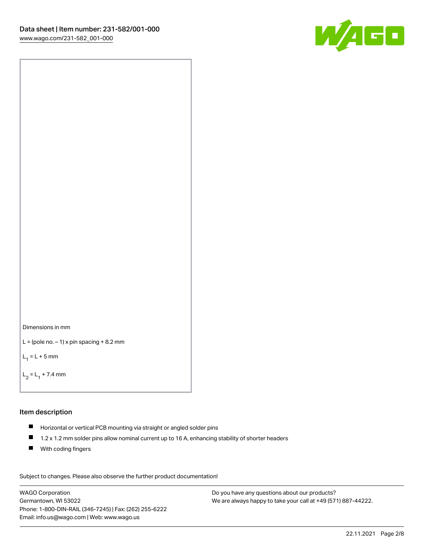



```
L = (pole no. -1) x pin spacing +8.2 mm
```
 $L_1 = L + 5$  mm

```
L_2 = L_1 + 7.4 mm
```
# Item description

- Horizontal or vertical PCB mounting via straight or angled solder pins
- $\blacksquare$ 1.2 x 1.2 mm solder pins allow nominal current up to 16 A, enhancing stability of shorter headers
- **With coding fingers**

Subject to changes. Please also observe the further product documentation! Data

WAGO Corporation Germantown, WI 53022 Phone: 1-800-DIN-RAIL (346-7245) | Fax: (262) 255-6222 Email: info.us@wago.com | Web: www.wago.us

Do you have any questions about our products? We are always happy to take your call at +49 (571) 887-44222.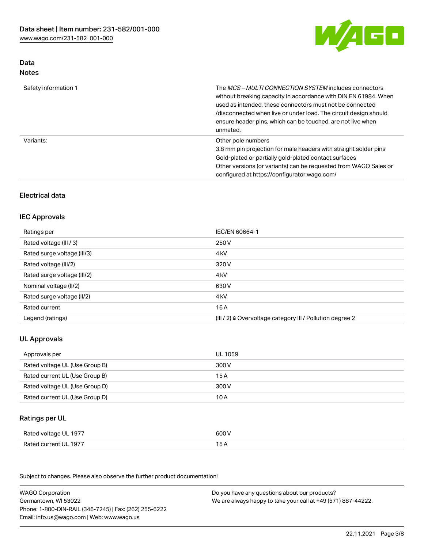

## Data Notes

| Safety information 1 | The <i>MCS – MULTI CONNECTION SYSTEM</i> includes connectors<br>without breaking capacity in accordance with DIN EN 61984. When<br>used as intended, these connectors must not be connected<br>/disconnected when live or under load. The circuit design should<br>ensure header pins, which can be touched, are not live when<br>unmated. |
|----------------------|--------------------------------------------------------------------------------------------------------------------------------------------------------------------------------------------------------------------------------------------------------------------------------------------------------------------------------------------|
| Variants:            | Other pole numbers<br>3.8 mm pin projection for male headers with straight solder pins<br>Gold-plated or partially gold-plated contact surfaces<br>Other versions (or variants) can be requested from WAGO Sales or<br>configured at https://configurator.wago.com/                                                                        |

# Electrical data

## IEC Approvals

| Ratings per                 | IEC/EN 60664-1                                                        |
|-----------------------------|-----------------------------------------------------------------------|
| Rated voltage (III / 3)     | 250 V                                                                 |
| Rated surge voltage (III/3) | 4 <sub>k</sub> V                                                      |
| Rated voltage (III/2)       | 320 V                                                                 |
| Rated surge voltage (III/2) | 4 <sub>k</sub> V                                                      |
| Nominal voltage (II/2)      | 630 V                                                                 |
| Rated surge voltage (II/2)  | 4 <sub>k</sub> V                                                      |
| Rated current               | 16 A                                                                  |
| Legend (ratings)            | $(III / 2)$ $\triangle$ Overvoltage category III / Pollution degree 2 |

## UL Approvals

| Approvals per                  | UL 1059 |
|--------------------------------|---------|
| Rated voltage UL (Use Group B) | 300 V   |
| Rated current UL (Use Group B) | 15 A    |
| Rated voltage UL (Use Group D) | 300 V   |
| Rated current UL (Use Group D) | 10 A    |

### Ratings per UL

| Rated voltage UL 1977 | 600 V |
|-----------------------|-------|
| Rated current UL 1977 |       |

Subject to changes. Please also observe the further product documentation!

| <b>WAGO Corporation</b>                                | Do you have any questions about our products?                 |
|--------------------------------------------------------|---------------------------------------------------------------|
| Germantown, WI 53022                                   | We are always happy to take your call at +49 (571) 887-44222. |
| Phone: 1-800-DIN-RAIL (346-7245)   Fax: (262) 255-6222 |                                                               |
| Email: info.us@wago.com   Web: www.wago.us             |                                                               |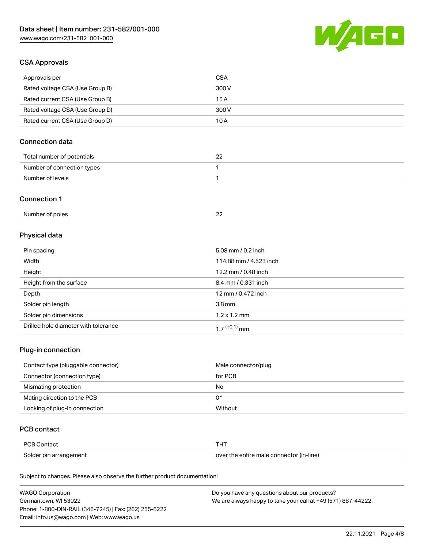

## CSA Approvals

| Approvals per                   | <b>CSA</b> |
|---------------------------------|------------|
| Rated voltage CSA (Use Group B) | 300 V      |
| Rated current CSA (Use Group B) | 15 A       |
| Rated voltage CSA (Use Group D) | 300 V      |
| Rated current CSA (Use Group D) | 10 A       |

## Connection data

| Total number of potentials | n,<br>ے |
|----------------------------|---------|
| Number of connection types |         |
| Number of levels           |         |

#### Connection 1

| Number of poles |  |
|-----------------|--|
|-----------------|--|

# Physical data

| Pin spacing                          | 5.08 mm / 0.2 inch     |
|--------------------------------------|------------------------|
| Width                                | 114.88 mm / 4.523 inch |
| Height                               | 12.2 mm / 0.48 inch    |
| Height from the surface              | 8.4 mm / 0.331 inch    |
| Depth                                | 12 mm / 0.472 inch     |
| Solder pin length                    | 3.8 <sub>mm</sub>      |
| Solder pin dimensions                | $1.2 \times 1.2$ mm    |
| Drilled hole diameter with tolerance | $17^{(+0.1)}$ mm       |

## Plug-in connection

| Contact type (pluggable connector) | Male connector/plug |
|------------------------------------|---------------------|
| Connector (connection type)        | for PCB             |
| Mismating protection               | No                  |
| Mating direction to the PCB        | 0°                  |
| Locking of plug-in connection      | Without             |

### PCB contact

| <b>PCB Contact</b>     | <b>THT</b>                               |
|------------------------|------------------------------------------|
| Solder pin arrangement | over the entire male connector (in-line) |

Subject to changes. Please also observe the further product documentation!

| <b>WAGO Corporation</b>                                | Do you have any questions about our products?                 |
|--------------------------------------------------------|---------------------------------------------------------------|
| Germantown, WI 53022                                   | We are always happy to take your call at +49 (571) 887-44222. |
| Phone: 1-800-DIN-RAIL (346-7245)   Fax: (262) 255-6222 |                                                               |
| Email: info.us@wago.com   Web: www.wago.us             |                                                               |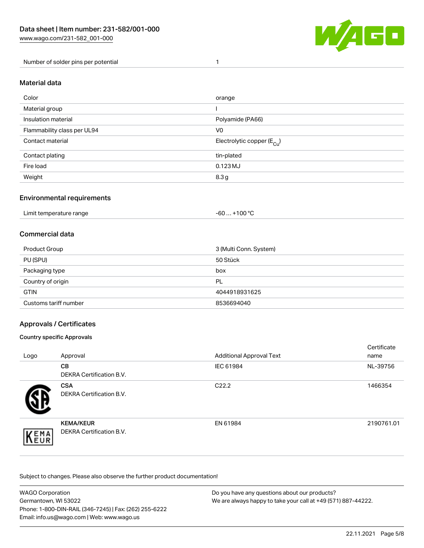

Number of solder pins per potential 1

#### Material data

| Color                       | orange                                 |
|-----------------------------|----------------------------------------|
| Material group              |                                        |
| Insulation material         | Polyamide (PA66)                       |
| Flammability class per UL94 | V <sub>0</sub>                         |
| Contact material            | Electrolytic copper (E <sub>Cu</sub> ) |
| Contact plating             | tin-plated                             |
| Fire load                   | $0.123$ MJ                             |
| Weight                      | 8.3 g                                  |

### Environmental requirements

Limit temperature range  $-60... +100$  °C

### Commercial data

| Product Group         | 3 (Multi Conn. System) |
|-----------------------|------------------------|
| PU (SPU)              | 50 Stück               |
| Packaging type        | box                    |
| Country of origin     | PL                     |
| <b>GTIN</b>           | 4044918931625          |
| Customs tariff number | 8536694040             |

### Approvals / Certificates

#### Country specific Approvals

| Logo               | Approval                                            | <b>Additional Approval Text</b> | Certificate<br>name |
|--------------------|-----------------------------------------------------|---------------------------------|---------------------|
|                    | <b>CB</b><br><b>DEKRA Certification B.V.</b>        | IEC 61984                       | NL-39756            |
|                    | <b>CSA</b><br>DEKRA Certification B.V.              | C <sub>22.2</sub>               | 1466354             |
| EMA<br><b>NEUR</b> | <b>KEMA/KEUR</b><br><b>DEKRA Certification B.V.</b> | EN 61984                        | 2190761.01          |

Subject to changes. Please also observe the further product documentation!

| <b>WAGO Corporation</b>                                | Do you have any questions about our products?                 |
|--------------------------------------------------------|---------------------------------------------------------------|
| Germantown, WI 53022                                   | We are always happy to take your call at +49 (571) 887-44222. |
| Phone: 1-800-DIN-RAIL (346-7245)   Fax: (262) 255-6222 |                                                               |
| Email: info.us@wago.com   Web: www.wago.us             |                                                               |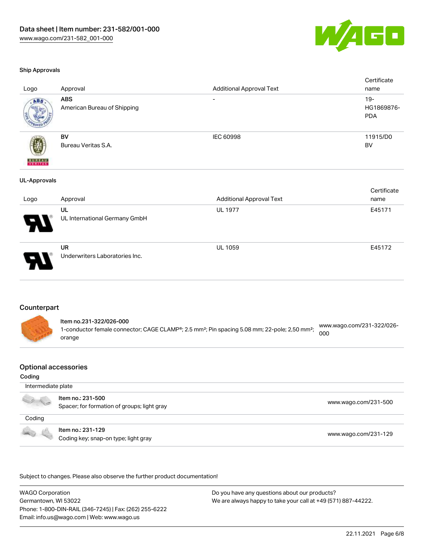

#### Ship Approvals

|                     |                               |                                 | Certificate |
|---------------------|-------------------------------|---------------------------------|-------------|
| Logo                | Approval                      | <b>Additional Approval Text</b> | name        |
| ABS                 | <b>ABS</b>                    |                                 | $19 -$      |
|                     | American Bureau of Shipping   |                                 | HG1869876-  |
|                     |                               |                                 | <b>PDA</b>  |
|                     |                               |                                 |             |
|                     | BV                            | IEC 60998                       | 11915/D0    |
|                     | Bureau Veritas S.A.           |                                 | BV          |
|                     |                               |                                 |             |
| <b>BUREAU</b>       |                               |                                 |             |
|                     |                               |                                 |             |
| <b>UL-Approvals</b> |                               |                                 |             |
|                     |                               |                                 | Certificate |
| Logo                | Approval                      | <b>Additional Approval Text</b> | name        |
|                     | UL                            | <b>UL 1977</b>                  | E45171      |
|                     | UL International Germany GmbH |                                 |             |
|                     |                               |                                 |             |
|                     |                               |                                 |             |
|                     |                               |                                 |             |



UR Underwriters Laboratories Inc.

#### **Counterpart**

Item no.231-322/026-000 1-conductor female connector; CAGE CLAMP®; 2.5 mm²; Pin spacing 5.08 mm; 22-pole; 2,50 mm²; orange [www.wago.com/231-322/026-](https://www.wago.com/231-322/026-000) [000](https://www.wago.com/231-322/026-000)

#### Optional accessories

#### Coding

 Intermediate plate Item no.: 231-500 . I Not the second that the second second the second second second that [www.wago.com/231-500](http://www.wago.com/231-500) spacer; for formation of groups; light gray Coding Item no.: 231-129 Coding key; snap-on type; light gray [www.wago.com/231-129](http://www.wago.com/231-129)

.<br>Subject to changes. Please also observe the further product documentation!

WAGO Corporation Germantown, WI 53022 Phone: 1-800-DIN-RAIL (346-7245) | Fax: (262) 255-6222 Email: info.us@wago.com | Web: www.wago.us

Do you have any questions about our products? We are always happy to take your call at +49 (571) 887-44222.

UL 1059 E45172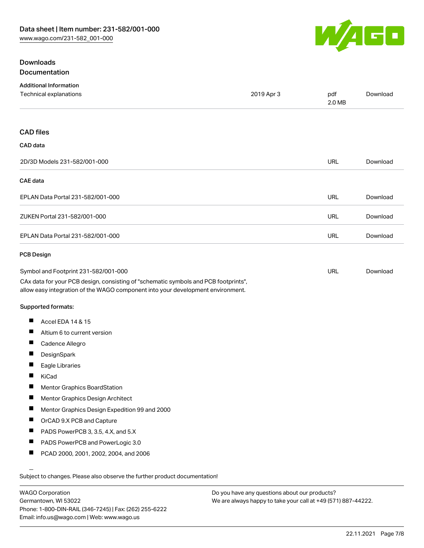

## **Downloads** Documentation

| <b>Additional Information</b><br><b>Technical explanations</b>                                                                                                         | 2019 Apr 3 | pdf        | Download |
|------------------------------------------------------------------------------------------------------------------------------------------------------------------------|------------|------------|----------|
|                                                                                                                                                                        |            | 2.0 MB     |          |
| <b>CAD</b> files                                                                                                                                                       |            |            |          |
| CAD data                                                                                                                                                               |            |            |          |
| 2D/3D Models 231-582/001-000                                                                                                                                           |            | <b>URL</b> | Download |
| <b>CAE</b> data                                                                                                                                                        |            |            |          |
| EPLAN Data Portal 231-582/001-000                                                                                                                                      |            | URL        | Download |
| ZUKEN Portal 231-582/001-000                                                                                                                                           |            | URL        | Download |
| EPLAN Data Portal 231-582/001-000                                                                                                                                      |            | <b>URL</b> | Download |
| <b>PCB Design</b>                                                                                                                                                      |            |            |          |
| Symbol and Footprint 231-582/001-000                                                                                                                                   |            | URL        | Download |
| CAx data for your PCB design, consisting of "schematic symbols and PCB footprints",<br>allow easy integration of the WAGO component into your development environment. |            |            |          |
| <b>Supported formats:</b>                                                                                                                                              |            |            |          |
| Accel EDA 14 & 15<br>H                                                                                                                                                 |            |            |          |
| Ш<br>Altium 6 to current version                                                                                                                                       |            |            |          |
| ш<br>Cadence Allegro                                                                                                                                                   |            |            |          |
| DesignSpark                                                                                                                                                            |            |            |          |
| Ш<br>Eagle Libraries                                                                                                                                                   |            |            |          |
| Ш<br>KiCad                                                                                                                                                             |            |            |          |
| Mentor Graphics BoardStation                                                                                                                                           |            |            |          |
| Ц<br>Mentor Graphics Design Architect                                                                                                                                  |            |            |          |
| H.<br>Mentor Graphics Design Expedition 99 and 2000                                                                                                                    |            |            |          |
| п<br>OrCAD 9.X PCB and Capture                                                                                                                                         |            |            |          |
| Ш<br>PADS PowerPCB 3, 3.5, 4.X, and 5.X                                                                                                                                |            |            |          |
| Ш<br>PADS PowerPCB and PowerLogic 3.0                                                                                                                                  |            |            |          |
| ш<br>PCAD 2000, 2001, 2002, 2004, and 2006                                                                                                                             |            |            |          |
|                                                                                                                                                                        |            |            |          |
| Subject to changes. Please also observe the further product documentation!                                                                                             |            |            |          |

WAGO Corporation Germantown, WI 53022 Phone: 1-800-DIN-RAIL (346-7245) | Fax: (262) 255-6222 Email: info.us@wago.com | Web: www.wago.us

Do you have any questions about our products? We are always happy to take your call at +49 (571) 887-44222.